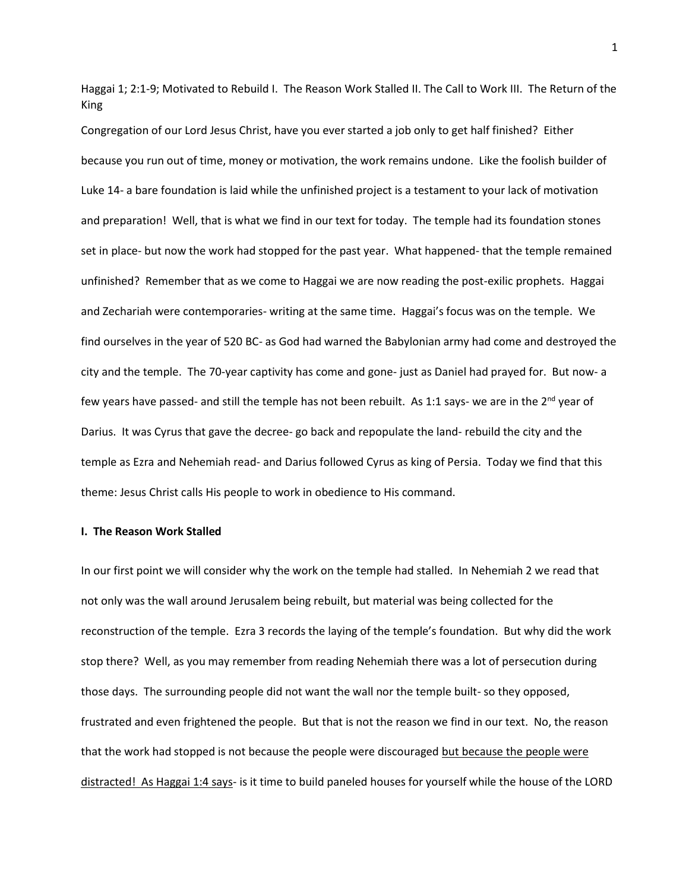Haggai 1; 2:1-9; Motivated to Rebuild I. The Reason Work Stalled II. The Call to Work III. The Return of the King

Congregation of our Lord Jesus Christ, have you ever started a job only to get half finished? Either because you run out of time, money or motivation, the work remains undone. Like the foolish builder of Luke 14- a bare foundation is laid while the unfinished project is a testament to your lack of motivation and preparation! Well, that is what we find in our text for today. The temple had its foundation stones set in place- but now the work had stopped for the past year. What happened- that the temple remained unfinished? Remember that as we come to Haggai we are now reading the post-exilic prophets. Haggai and Zechariah were contemporaries- writing at the same time. Haggai's focus was on the temple. We find ourselves in the year of 520 BC- as God had warned the Babylonian army had come and destroyed the city and the temple. The 70-year captivity has come and gone- just as Daniel had prayed for. But now- a few years have passed- and still the temple has not been rebuilt. As 1:1 says- we are in the  $2^{nd}$  year of Darius. It was Cyrus that gave the decree- go back and repopulate the land- rebuild the city and the temple as Ezra and Nehemiah read- and Darius followed Cyrus as king of Persia. Today we find that this theme: Jesus Christ calls His people to work in obedience to His command.

## **I. The Reason Work Stalled**

In our first point we will consider why the work on the temple had stalled. In Nehemiah 2 we read that not only was the wall around Jerusalem being rebuilt, but material was being collected for the reconstruction of the temple. Ezra 3 records the laying of the temple's foundation. But why did the work stop there? Well, as you may remember from reading Nehemiah there was a lot of persecution during those days. The surrounding people did not want the wall nor the temple built- so they opposed, frustrated and even frightened the people. But that is not the reason we find in our text. No, the reason that the work had stopped is not because the people were discouraged but because the people were distracted! As Haggai 1:4 says- is it time to build paneled houses for yourself while the house of the LORD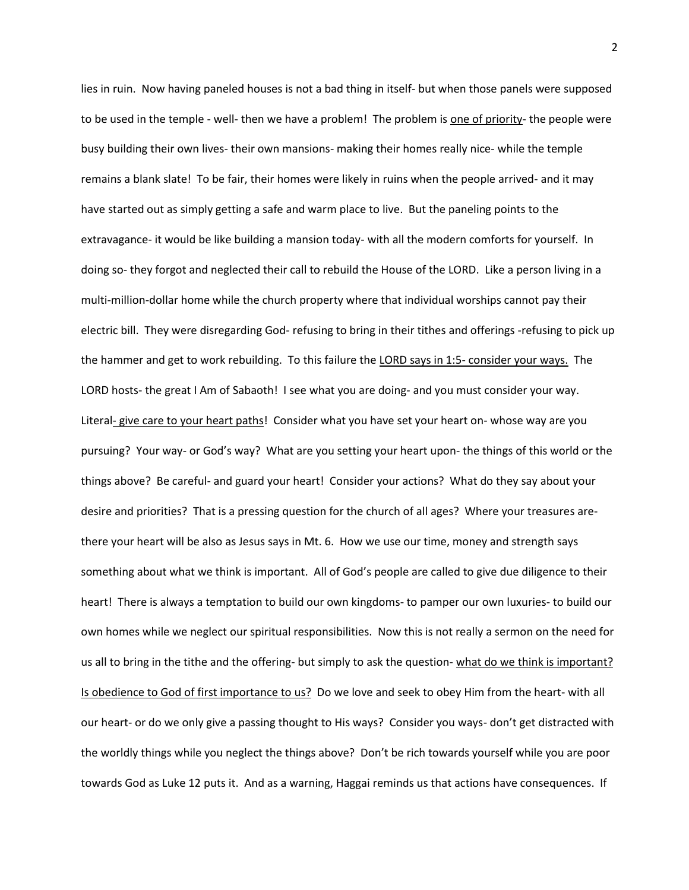lies in ruin. Now having paneled houses is not a bad thing in itself- but when those panels were supposed to be used in the temple - well- then we have a problem! The problem is one of priority- the people were busy building their own lives- their own mansions- making their homes really nice- while the temple remains a blank slate! To be fair, their homes were likely in ruins when the people arrived- and it may have started out as simply getting a safe and warm place to live. But the paneling points to the extravagance- it would be like building a mansion today- with all the modern comforts for yourself. In doing so- they forgot and neglected their call to rebuild the House of the LORD. Like a person living in a multi-million-dollar home while the church property where that individual worships cannot pay their electric bill. They were disregarding God- refusing to bring in their tithes and offerings -refusing to pick up the hammer and get to work rebuilding. To this failure the LORD says in 1:5- consider your ways. The LORD hosts- the great I Am of Sabaoth! I see what you are doing- and you must consider your way. Literal- give care to your heart paths! Consider what you have set your heart on- whose way are you pursuing? Your way- or God's way? What are you setting your heart upon- the things of this world or the things above? Be careful- and guard your heart! Consider your actions? What do they say about your desire and priorities? That is a pressing question for the church of all ages? Where your treasures arethere your heart will be also as Jesus says in Mt. 6. How we use our time, money and strength says something about what we think is important. All of God's people are called to give due diligence to their heart! There is always a temptation to build our own kingdoms- to pamper our own luxuries- to build our own homes while we neglect our spiritual responsibilities. Now this is not really a sermon on the need for us all to bring in the tithe and the offering- but simply to ask the question- what do we think is important? Is obedience to God of first importance to us? Do we love and seek to obey Him from the heart- with all our heart- or do we only give a passing thought to His ways? Consider you ways- don't get distracted with the worldly things while you neglect the things above? Don't be rich towards yourself while you are poor towards God as Luke 12 puts it. And as a warning, Haggai reminds us that actions have consequences. If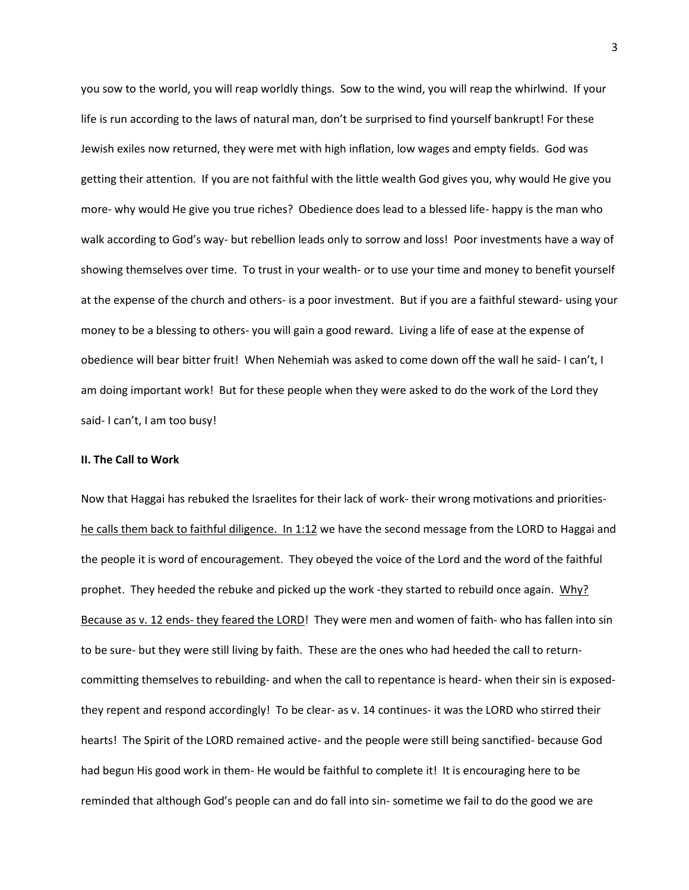you sow to the world, you will reap worldly things. Sow to the wind, you will reap the whirlwind. If your life is run according to the laws of natural man, don't be surprised to find yourself bankrupt! For these Jewish exiles now returned, they were met with high inflation, low wages and empty fields. God was getting their attention. If you are not faithful with the little wealth God gives you, why would He give you more- why would He give you true riches? Obedience does lead to a blessed life- happy is the man who walk according to God's way- but rebellion leads only to sorrow and loss! Poor investments have a way of showing themselves over time. To trust in your wealth- or to use your time and money to benefit yourself at the expense of the church and others- is a poor investment. But if you are a faithful steward- using your money to be a blessing to others- you will gain a good reward. Living a life of ease at the expense of obedience will bear bitter fruit! When Nehemiah was asked to come down off the wall he said- I can't, I am doing important work! But for these people when they were asked to do the work of the Lord they said- I can't, I am too busy!

## **II. The Call to Work**

Now that Haggai has rebuked the Israelites for their lack of work- their wrong motivations and prioritieshe calls them back to faithful diligence. In 1:12 we have the second message from the LORD to Haggai and the people it is word of encouragement. They obeyed the voice of the Lord and the word of the faithful prophet. They heeded the rebuke and picked up the work -they started to rebuild once again. Why? Because as v. 12 ends- they feared the LORD! They were men and women of faith- who has fallen into sin to be sure- but they were still living by faith. These are the ones who had heeded the call to returncommitting themselves to rebuilding- and when the call to repentance is heard- when their sin is exposedthey repent and respond accordingly! To be clear- as v. 14 continues- it was the LORD who stirred their hearts! The Spirit of the LORD remained active- and the people were still being sanctified- because God had begun His good work in them- He would be faithful to complete it! It is encouraging here to be reminded that although God's people can and do fall into sin- sometime we fail to do the good we are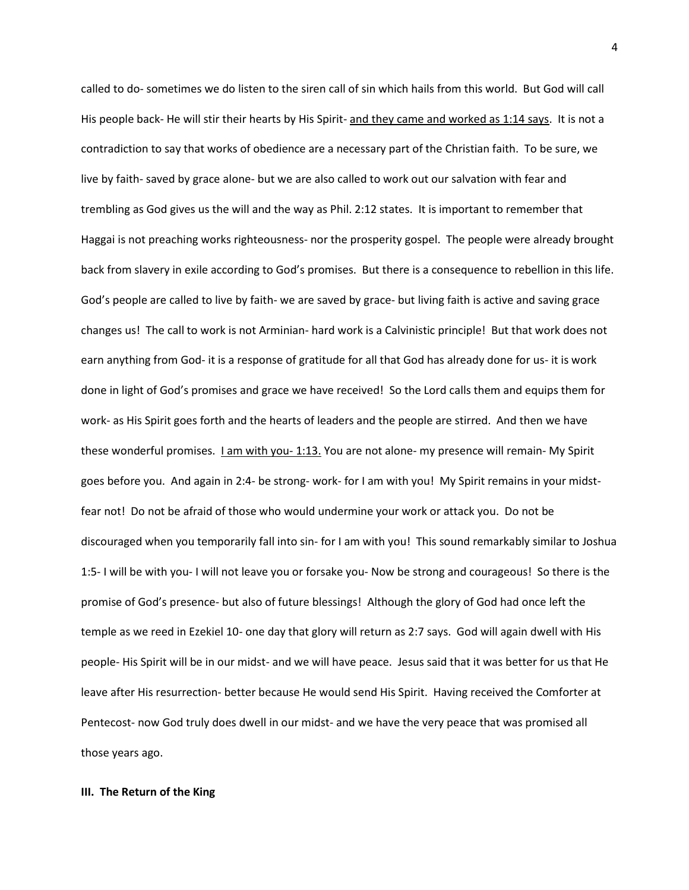called to do- sometimes we do listen to the siren call of sin which hails from this world. But God will call His people back- He will stir their hearts by His Spirit- and they came and worked as 1:14 says. It is not a contradiction to say that works of obedience are a necessary part of the Christian faith. To be sure, we live by faith- saved by grace alone- but we are also called to work out our salvation with fear and trembling as God gives us the will and the way as Phil. 2:12 states. It is important to remember that Haggai is not preaching works righteousness- nor the prosperity gospel. The people were already brought back from slavery in exile according to God's promises. But there is a consequence to rebellion in this life. God's people are called to live by faith- we are saved by grace- but living faith is active and saving grace changes us! The call to work is not Arminian- hard work is a Calvinistic principle! But that work does not earn anything from God- it is a response of gratitude for all that God has already done for us- it is work done in light of God's promises and grace we have received! So the Lord calls them and equips them for work- as His Spirit goes forth and the hearts of leaders and the people are stirred. And then we have these wonderful promises. I am with you- 1:13. You are not alone- my presence will remain- My Spirit goes before you. And again in 2:4- be strong- work- for I am with you! My Spirit remains in your midstfear not! Do not be afraid of those who would undermine your work or attack you. Do not be discouraged when you temporarily fall into sin- for I am with you! This sound remarkably similar to Joshua 1:5- I will be with you- I will not leave you or forsake you- Now be strong and courageous! So there is the promise of God's presence- but also of future blessings! Although the glory of God had once left the temple as we reed in Ezekiel 10- one day that glory will return as 2:7 says. God will again dwell with His people- His Spirit will be in our midst- and we will have peace. Jesus said that it was better for us that He leave after His resurrection- better because He would send His Spirit. Having received the Comforter at Pentecost- now God truly does dwell in our midst- and we have the very peace that was promised all those years ago.

## **III. The Return of the King**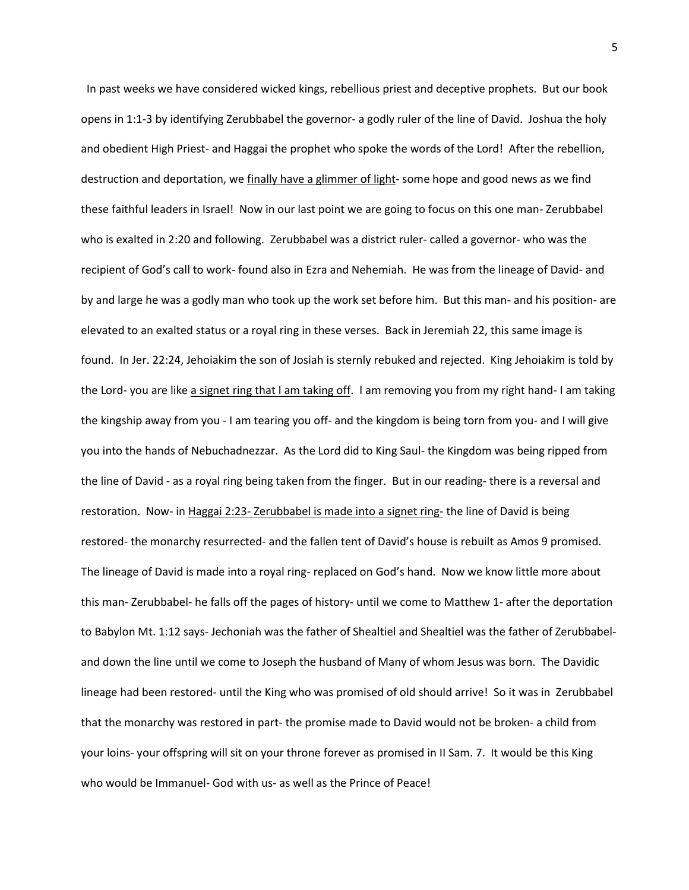In past weeks we have considered wicked kings, rebellious priest and deceptive prophets. But our book opens in 1:1-3 by identifying Zerubbabel the governor- a godly ruler of the line of David. Joshua the holy and obedient High Priest- and Haggai the prophet who spoke the words of the Lord! After the rebellion, destruction and deportation, we finally have a glimmer of light- some hope and good news as we find these faithful leaders in Israel! Now in our last point we are going to focus on this one man- Zerubbabel who is exalted in 2:20 and following. Zerubbabel was a district ruler- called a governor- who was the recipient of God's call to work- found also in Ezra and Nehemiah. He was from the lineage of David- and by and large he was a godly man who took up the work set before him. But this man- and his position- are elevated to an exalted status or a royal ring in these verses. Back in Jeremiah 22, this same image is found. In Jer. 22:24, Jehoiakim the son of Josiah is sternly rebuked and rejected. King Jehoiakim is told by the Lord- you are like a signet ring that I am taking off. I am removing you from my right hand- I am taking the kingship away from you - I am tearing you off- and the kingdom is being torn from you- and I will give you into the hands of Nebuchadnezzar. As the Lord did to King Saul- the Kingdom was being ripped from the line of David - as a royal ring being taken from the finger. But in our reading- there is a reversal and restoration. Now- in Haggai 2:23- Zerubbabel is made into a signet ring- the line of David is being restored- the monarchy resurrected- and the fallen tent of David's house is rebuilt as Amos 9 promised. The lineage of David is made into a royal ring- replaced on God's hand. Now we know little more about this man- Zerubbabel- he falls off the pages of history- until we come to Matthew 1- after the deportation to Babylon Mt. 1:12 says- Jechoniah was the father of Shealtiel and Shealtiel was the father of Zerubbabeland down the line until we come to Joseph the husband of Many of whom Jesus was born. The Davidic lineage had been restored- until the King who was promised of old should arrive! So it was in Zerubbabel that the monarchy was restored in part- the promise made to David would not be broken- a child from your loins- your offspring will sit on your throne forever as promised in II Sam. 7. It would be this King who would be Immanuel- God with us- as well as the Prince of Peace!